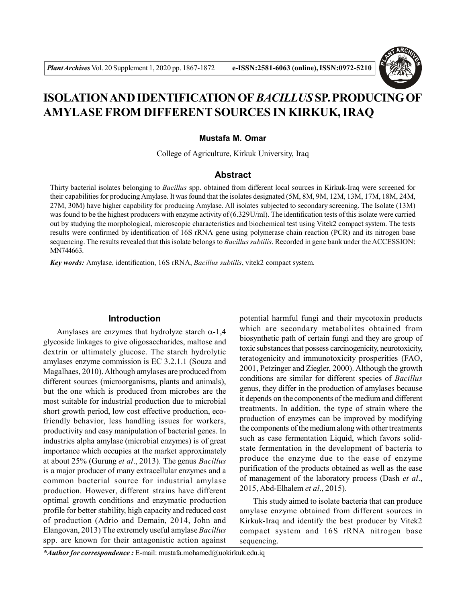

# **ISOLATION AND IDENTIFICATION OF** *BACILLUS* **SP. PRODUCING OF AMYLASE FROM DIFFERENT SOURCES IN KIRKUK, IRAQ**

#### **Mustafa M. Omar**

College of Agriculture, Kirkuk University, Iraq

## **Abstract**

Thirty bacterial isolates belonging to *Bacillus* spp. obtained from different local sources in Kirkuk-Iraq were screened for their capabilities for producing Amylase. It was found that the isolates designated (5M, 8M, 9M, 12M, 13M, 17M, 18M, 24M, 27M, 30M) have higher capability for producing Amylase. All isolates subjected to secondary screening. The Isolate (13M) was found to be the highest producers with enzyme activity of (6.329U/ml). The identification tests of this isolate were carried out by studying the morphological, microscopic characteristics and biochemical test using Vitek2 compact system. The tests results were confirmed by identification of 16S rRNA gene using polymerase chain reaction (PCR) and its nitrogen base sequencing. The results revealed that this isolate belongs to *Bacillus subtilis*. Recorded in gene bank under the ACCESSION: MN744663.

*Key words:* Amylase, identification, 16S rRNA, *Bacillus subtilis*, vitek2 compact system.

## **Introduction**

Amylases are enzymes that hydrolyze starch  $\alpha$ -1,4 glycoside linkages to give oligosaccharides, maltose and dextrin or ultimately glucose. The starch hydrolytic amylases enzyme commission is EC 3.2.1.1 (Souza and Magalhaes, 2010). Although amylases are produced from different sources (microorganisms, plants and animals), but the one which is produced from microbes are the most suitable for industrial production due to microbial short growth period, low cost effective production, ecofriendly behavior, less handling issues for workers, productivity and easy manipulation of bacterial genes. In industries alpha amylase (microbial enzymes) is of great importance which occupies at the market approximately at about 25% (Gurung *et al*., 2013). The genus *Bacillus* is a major producer of many extracellular enzymes and a common bacterial source for industrial amylase production. However, different strains have different optimal growth conditions and enzymatic production profile for better stability, high capacity and reduced cost of production (Adrio and Demain, 2014, John and Elangovan, 2013) The extremely useful amylase *Bacillus* spp. are known for their antagonistic action against

potential harmful fungi and their mycotoxin products which are secondary metabolites obtained from biosynthetic path of certain fungi and they are group of toxic substances that possess carcinogenicity, neurotoxicity, teratogenicity and immunotoxicity prosperities (FAO, 2001, Petzinger and Ziegler, 2000). Although the growth conditions are similar for different species of *Bacillus* genus, they differ in the production of amylases because it depends on the components of the medium and different treatments. In addition, the type of strain where the production of enzymes can be improved by modifying the components of the medium along with other treatments such as case fermentation Liquid, which favors solidstate fermentation in the development of bacteria to produce the enzyme due to the ease of enzyme purification of the products obtained as well as the ease of management of the laboratory process (Dash *et al*., 2015, Abd-Elhalem *et al*., 2015).

This study aimed to isolate bacteria that can produce amylase enzyme obtained from different sources in Kirkuk-Iraq and identify the best producer by Vitek2 compact system and 16S rRNA nitrogen base sequencing.

*\*Author for correspondence :* E-mail: mustafa.mohamed@uokirkuk.edu.iq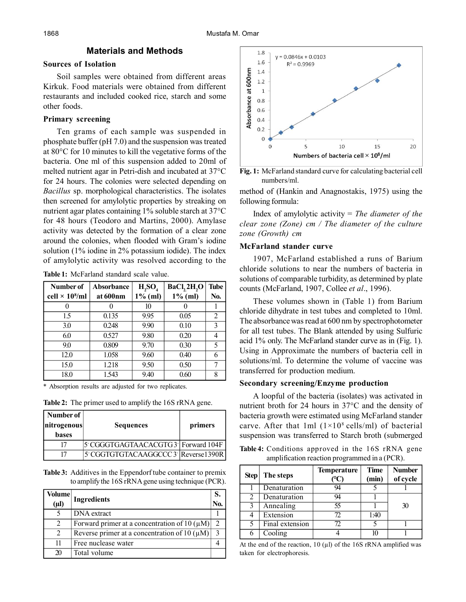## **Materials and Methods**

## **Sources of Isolation**

Soil samples were obtained from different areas Kirkuk. Food materials were obtained from different restaurants and included cooked rice, starch and some other foods.

## **Primary screening**

Ten grams of each sample was suspended in phosphate buffer (pH 7.0) and the suspension was treated at 80°C for 10 minutes to kill the vegetative forms of the bacteria. One ml of this suspension added to 20ml of melted nutrient agar in Petri-dish and incubated at 37°C for 24 hours. The colonies were selected depending on *Bacillus* sp. morphological characteristics. The isolates then screened for amylolytic properties by streaking on nutrient agar plates containing 1% soluble starch at 37°C for 48 hours (Teodoro and Martins, 2000). Amylase activity was detected by the formation of a clear zone around the colonies, when flooded with Gram's iodine solution (1% iodine in 2% potassium iodide). The index of amylolytic activity was resolved according to the

**Table 1:** McFarland standard scale value.

| Number of                         | Absorbance | H, SO <sub>4</sub> | BaCl, 2H, O | <b>Tube</b> |
|-----------------------------------|------------|--------------------|-------------|-------------|
| cell $\times$ 10 <sup>8</sup> /ml | at 600nm   | $1\%$ (ml)         | $1\%$ (ml)  | No.         |
|                                   |            | 10                 |             |             |
| 15                                | 0.135      | 9.95               | 0.05        | 2           |
| 3.0                               | 0.248      | 9.90               | 0.10        | 3           |
| 6.0                               | 0.527      | 9.80               | 0.20        |             |
| 9.0                               | 0.809      | 9.70               | 0.30        | 5           |
| 12.0                              | 1.058      | 9.60               | 0.40        |             |
| 15.0                              | 1.218      | 9.50               | 0.50        |             |
| 18.0                              | 1.543      | 9.40               | 0.60        | 8           |

\* Absorption results are adjusted for two replicates.

**Table 2:** The primer used to amplify the 16S rRNA gene.

| Number of<br>nitrogenous<br><b>bases</b> | <b>Sequences</b>                    | primers |
|------------------------------------------|-------------------------------------|---------|
| 17                                       | 5 CGGGTGAGTAACACGTG3   Forward 104F |         |
|                                          | 5 CGGTGTGTACAAGGCCC 3 Reverse1390R  |         |

**Table 3:** Additives in the Eppendorf tube container to premix to amplify the 16S rRNA gene using technique (PCR).

| <b>Volume</b><br>$(\mu l)$ | <b>Ingredients</b>                                | S.<br>No.      |
|----------------------------|---------------------------------------------------|----------------|
| 5                          | DNA extract                                       |                |
| 2                          | Forward primer at a concentration of 10 $(\mu M)$ | $\mathfrak{D}$ |
| 2                          | Reverse primer at a concentration of 10 $(\mu M)$ | $\mathcal{R}$  |
| 11                         | Free nuclease water                               |                |
| 20                         | Total volume                                      |                |



**Fig. 1:** McFarland standard curve for calculating bacterial cell numbers/ml.

method of (Hankin and Anagnostakis, 1975) using the following formula:

Index of amylolytic activity = *The diameter of the clear zone (Zone) cm / The diameter of the culture zone (Growth) cm*

## **McFarland stander curve**

1907, McFarland established a runs of Barium chloride solutions to near the numbers of bacteria in solutions of comparable turbidity, as determined by plate counts (McFarland, 1907, Collee *et al*., 1996).

These volumes shown in (Table 1) from Barium chloride dihydrate in test tubes and completed to 10ml. The absorbance was read at 600 nm by spectrophotometer for all test tubes. The Blank attended by using Sulfuric acid 1% only. The McFarland stander curve as in (Fig. 1). Using in Approximate the numbers of bacteria cell in solutions/ml. To determine the volume of vaccine was transferred for production medium.

## **Secondary screening/Enzyme production**

A loopful of the bacteria (isolates) was activated in nutrient broth for 24 hours in 37°C and the density of bacteria growth were estimated using McFarland stander carve. After that 1ml  $(1\times10^8 \text{ cells/ml})$  of bacterial suspension was transferred to Starch broth (submerged

**Table 4:** Conditions approved in the 16S rRNA gene amplification reaction programmed in a (PCR).

| <b>Step</b>                 | <b>Temperature</b><br>The steps  |    | Time<br>(min) | <b>Number</b><br>of cycle |
|-----------------------------|----------------------------------|----|---------------|---------------------------|
|                             | Denaturation                     | 94 |               |                           |
| $\mathcal{D}_{\mathcal{L}}$ | Denaturation                     | 94 |               |                           |
| $\mathcal{R}$               | $\overline{\mathbf{A}}$ nnealing | 55 |               | 30                        |
|                             | Extension                        | 72 | 1:40          |                           |
|                             | Final extension                  | 72 |               |                           |
|                             | $\overline{\text{Cooling}}$      |    |               |                           |

At the end of the reaction,  $10 \text{ (µl)}$  of the 16S rRNA amplified was taken for electrophoresis.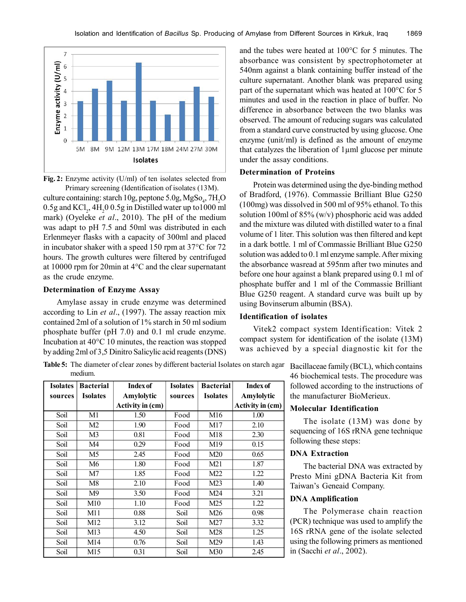

**Fig. 2:** Enzyme activity (U/ml) of ten isolates selected from Primary screening (Identification of isolates (13M).

culture containing: starch 10g, peptone 5.0g,  $MgSo<sub>4</sub>$ , 7H<sub>2</sub>O  $0.5$ g and KCl<sub>2</sub>, 4H<sub>2</sub>0 0.5g in Distilled water up to1000 ml mark) (Oyeleke *et al*., 2010). The pH of the medium was adapt to pH 7.5 and 50ml was distributed in each Erlenmeyer flasks with a capacity of 300ml and placed in incubator shaker with a speed 150 rpm at 37°C for 72 hours. The growth cultures were filtered by centrifuged at 10000 rpm for 20min at 4°C and the clear supernatant as the crude enzyme.

#### **Determination of Enzyme Assay**

Amylase assay in crude enzyme was determined according to Lin *et al*., (1997). The assay reaction mix contained 2ml of a solution of 1% starch in 50 ml sodium phosphate buffer (pH 7.0) and 0.1 ml crude enzyme. Incubation at 40°C 10 minutes, the reaction was stopped by adding 2ml of 3,5 Dinitro Salicylic acid reagents (DNS) and the tubes were heated at 100°C for 5 minutes. The absorbance was consistent by spectrophotometer at 540nm against a blank containing buffer instead of the culture supernatant. Another blank was prepared using part of the supernatant which was heated at 100°C for 5 minutes and used in the reaction in place of buffer. No difference in absorbance between the two blanks was observed. The amount of reducing sugars was calculated from a standard curve constructed by using glucose. One enzyme (unit/ml) is defined as the amount of enzyme that catalyzes the liberation of 1µml glucose per minute under the assay conditions.

#### **Determination of Proteins**

Protein was determined using the dye-binding method of Bradford, (1976). Commassie Brilliant Blue G250 (100mg) was dissolved in 500 ml of 95% ethanol. To this solution 100ml of 85% (w/v) phosphoric acid was added and the mixture was diluted with distilled water to a final volume of 1 liter. This solution was then filtered and kept in a dark bottle. 1 ml of Commassie Brilliant Blue G250 solution was added to 0.1 ml enzyme sample. After mixing the absorbance wasread at 595nm after two minutes and before one hour against a blank prepared using 0.1 ml of phosphate buffer and 1 ml of the Commassie Brilliant Blue G250 reagent. A standard curve was built up by using Bovinserum albumin (BSA).

#### **Identification of isolates**

Vitek2 compact system Identification: Vitek 2 compact system for identification of the isolate (13M) was achieved by a special diagnostic kit for the

**Table 5:** The diameter of clear zones by different bacterial Isolates on starch agar Bacillaceae family (BCL), which contains medium.

| <b>Isolates</b> | <b>Bacterial</b> | <b>Index of</b>  | <b>Isolates</b> | <b>Bacterial</b> | <b>Index of</b>  |
|-----------------|------------------|------------------|-----------------|------------------|------------------|
| sources         | <b>Isolates</b>  | Amylolytic       | sources         | <b>Isolates</b>  | Amylolytic       |
|                 |                  | Activity in (cm) |                 |                  | Activity in (cm) |
| Soil            | M1               | 1.50             | Food            | M <sub>16</sub>  | 1.00             |
| Soil            | M <sub>2</sub>   | 1.90             | Food            | M17              | 2.10             |
| Soil            | M <sub>3</sub>   | 0.81             | Food            | M18              | 2.30             |
| Soil            | M4               | 0.29             | Food            | M19              | 0.15             |
| Soil            | M <sub>5</sub>   | 2.45             | Food            | M20              | 0.65             |
| Soil            | M6               | 1.80             | Food            | M21              | 1.87             |
| Soil            | M <sub>7</sub>   | 1.85             | Food            | M22              | 1.22             |
| Soil            | M8               | 2.10             | Food            | M23              | 1.40             |
| Soil            | M <sup>9</sup>   | 3.50             | Food            | M24              | 3.21             |
| Soil            | M10              | 1.10             | Food            | M25              | 1.22             |
| Soil            | M11              | 0.88             | Soil            | M26              | 0.98             |
| Soil            | M12              | 3.12             | Soil            | M27              | 3.32             |
| Soil            | M13              | 4.50             | Soil            | M28              | 1.25             |
| Soil            | M14              | 0.76             | Soil            | M29              | 1.43             |
| Soil            | M <sub>15</sub>  | 0.31             | Soil            | M30              | 2.45             |

46 biochemical tests. The procedure was followed according to the instructions of the manufacturer BioMerieux.

### **Molecular Identification**

The isolate (13M) was done by sequencing of 16S rRNA gene technique following these steps:

### **DNA Extraction**

The bacterial DNA was extracted by Presto Mini gDNA Bacteria Kit from Taiwan's Geneaid Company.

## **DNA Amplification**

The Polymerase chain reaction (PCR) technique was used to amplify the 16S rRNA gene of the isolate selected using the following primers as mentioned in (Sacchi *et al*., 2002).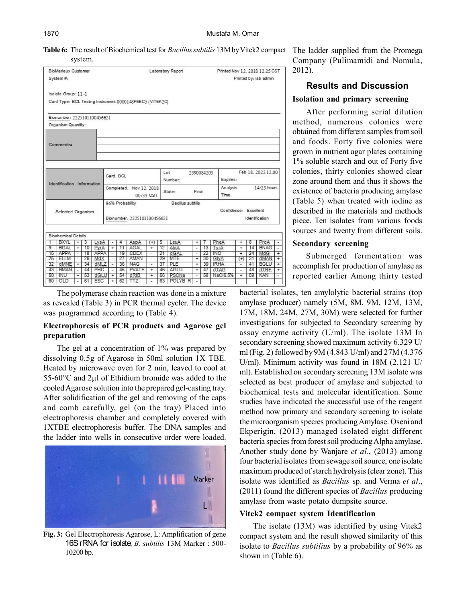**Table 6:** The result of Biochemical test for *Bacillus subtilis* 13M by Vitek2 compact system.

| Printed by: lab admin<br>Isolate Group: 11-1<br>Card Type: BCL Testing Instrument 0000148FEEC5 (VITEK2C)<br>Bionumber: 2225101100456621<br>Organism Quantity:<br>Comments:<br>Feb 18, 2022 12:00<br>Lot<br>2390084203<br>Card: BCL<br>Expires:<br>Number:<br>Identification Information<br>Analysis<br>Completed: Nov 12. 2018<br>State:<br>Final<br>Time-<br>00:33 CST<br>96% Probability<br>Bacillus subtilis<br>Confidence: Excellent<br>Selected Organism<br>Bionumber: 2225101100456621<br>Identification<br><b>Biochemical Details</b><br><b>BXYL</b><br>$\overline{+}$<br>3<br>LysA<br><b>AspA</b><br>LeuA<br>PheA<br>8<br>4<br>$^{(+)}$<br>5<br>$\div$<br>$\ddot{}$<br>$\overline{\phantom{a}}$<br>AGAL<br><b>BGAL</b><br>10<br>11<br>AlaA<br>$\overline{+}$<br>PyrA<br>$\overline{+}$<br>$\overline{1}$<br>12<br>13<br>TyrA<br>14<br>$\overline{+}$<br>÷,<br>$22 -$<br><b>INO</b><br>APPA<br>18<br>APPA<br>19<br>CDEX<br>21<br>24<br>15<br>dGAL<br>Ξ<br>$\overline{+}$<br>٠<br>×,<br>$\overline{\phantom{a}}$<br>25<br>26<br>AMAN<br>30 <sub>1</sub><br>31<br>ELLM<br>MdX<br>27<br>29<br>GlyA<br>MTE<br>$^{(+)}$<br>÷<br>$\overline{\phantom{a}}$<br>$\overline{\phantom{a}}$<br>٠<br>32<br>34<br><b>NAG</b><br>39 IRHA<br><b>BGLU</b><br>dMNE<br>dMLZ<br>36<br>37<br>PLE<br>41<br>$\div$<br>$\div$<br>÷<br>$\tilde{\phantom{a}}$<br>$\overline{a}$<br>43<br><b>BMAN</b><br>44<br>PHC<br>45<br><b>PVATE</b><br>AGLU<br>48<br>46<br>47<br>dTAG<br>dTRE<br>$\overline{+}$<br>$\overline{+}$<br>-<br>۰<br>٠<br>NaCl6.5%<br>50<br>-INU<br>-53<br>dGLU<br>54<br>dRIB<br>56 PSCNa<br>58<br>59<br>KAN<br>$\div$<br>$\div$<br>$\overline{+}$<br>$\ddot{}$<br>$\overline{\phantom{a}}$ |           | <b>BioMerieux Customer</b> |  |    |     |  |  |    |  |  | Laboratory Report |  |  | Printed Nov 12, 2018 12:25 CST |  |  |             |                |
|----------------------------------------------------------------------------------------------------------------------------------------------------------------------------------------------------------------------------------------------------------------------------------------------------------------------------------------------------------------------------------------------------------------------------------------------------------------------------------------------------------------------------------------------------------------------------------------------------------------------------------------------------------------------------------------------------------------------------------------------------------------------------------------------------------------------------------------------------------------------------------------------------------------------------------------------------------------------------------------------------------------------------------------------------------------------------------------------------------------------------------------------------------------------------------------------------------------------------------------------------------------------------------------------------------------------------------------------------------------------------------------------------------------------------------------------------------------------------------------------------------------------------------------------------------------------------------------------------------------------------------------------------------------------------------------|-----------|----------------------------|--|----|-----|--|--|----|--|--|-------------------|--|--|--------------------------------|--|--|-------------|----------------|
|                                                                                                                                                                                                                                                                                                                                                                                                                                                                                                                                                                                                                                                                                                                                                                                                                                                                                                                                                                                                                                                                                                                                                                                                                                                                                                                                                                                                                                                                                                                                                                                                                                                                                        | System #: |                            |  |    |     |  |  |    |  |  |                   |  |  |                                |  |  |             |                |
|                                                                                                                                                                                                                                                                                                                                                                                                                                                                                                                                                                                                                                                                                                                                                                                                                                                                                                                                                                                                                                                                                                                                                                                                                                                                                                                                                                                                                                                                                                                                                                                                                                                                                        |           |                            |  |    |     |  |  |    |  |  |                   |  |  |                                |  |  |             |                |
|                                                                                                                                                                                                                                                                                                                                                                                                                                                                                                                                                                                                                                                                                                                                                                                                                                                                                                                                                                                                                                                                                                                                                                                                                                                                                                                                                                                                                                                                                                                                                                                                                                                                                        |           |                            |  |    |     |  |  |    |  |  |                   |  |  |                                |  |  |             |                |
|                                                                                                                                                                                                                                                                                                                                                                                                                                                                                                                                                                                                                                                                                                                                                                                                                                                                                                                                                                                                                                                                                                                                                                                                                                                                                                                                                                                                                                                                                                                                                                                                                                                                                        |           |                            |  |    |     |  |  |    |  |  |                   |  |  |                                |  |  |             |                |
|                                                                                                                                                                                                                                                                                                                                                                                                                                                                                                                                                                                                                                                                                                                                                                                                                                                                                                                                                                                                                                                                                                                                                                                                                                                                                                                                                                                                                                                                                                                                                                                                                                                                                        |           |                            |  |    |     |  |  |    |  |  |                   |  |  |                                |  |  |             |                |
|                                                                                                                                                                                                                                                                                                                                                                                                                                                                                                                                                                                                                                                                                                                                                                                                                                                                                                                                                                                                                                                                                                                                                                                                                                                                                                                                                                                                                                                                                                                                                                                                                                                                                        |           |                            |  |    |     |  |  |    |  |  |                   |  |  |                                |  |  |             |                |
|                                                                                                                                                                                                                                                                                                                                                                                                                                                                                                                                                                                                                                                                                                                                                                                                                                                                                                                                                                                                                                                                                                                                                                                                                                                                                                                                                                                                                                                                                                                                                                                                                                                                                        |           |                            |  |    |     |  |  |    |  |  |                   |  |  |                                |  |  |             |                |
|                                                                                                                                                                                                                                                                                                                                                                                                                                                                                                                                                                                                                                                                                                                                                                                                                                                                                                                                                                                                                                                                                                                                                                                                                                                                                                                                                                                                                                                                                                                                                                                                                                                                                        |           |                            |  |    |     |  |  |    |  |  |                   |  |  |                                |  |  |             |                |
|                                                                                                                                                                                                                                                                                                                                                                                                                                                                                                                                                                                                                                                                                                                                                                                                                                                                                                                                                                                                                                                                                                                                                                                                                                                                                                                                                                                                                                                                                                                                                                                                                                                                                        |           |                            |  |    |     |  |  |    |  |  |                   |  |  |                                |  |  |             |                |
|                                                                                                                                                                                                                                                                                                                                                                                                                                                                                                                                                                                                                                                                                                                                                                                                                                                                                                                                                                                                                                                                                                                                                                                                                                                                                                                                                                                                                                                                                                                                                                                                                                                                                        |           |                            |  |    |     |  |  |    |  |  |                   |  |  |                                |  |  |             |                |
|                                                                                                                                                                                                                                                                                                                                                                                                                                                                                                                                                                                                                                                                                                                                                                                                                                                                                                                                                                                                                                                                                                                                                                                                                                                                                                                                                                                                                                                                                                                                                                                                                                                                                        |           |                            |  |    |     |  |  |    |  |  |                   |  |  | 14:25 hours                    |  |  |             |                |
|                                                                                                                                                                                                                                                                                                                                                                                                                                                                                                                                                                                                                                                                                                                                                                                                                                                                                                                                                                                                                                                                                                                                                                                                                                                                                                                                                                                                                                                                                                                                                                                                                                                                                        |           |                            |  |    |     |  |  |    |  |  |                   |  |  |                                |  |  |             |                |
|                                                                                                                                                                                                                                                                                                                                                                                                                                                                                                                                                                                                                                                                                                                                                                                                                                                                                                                                                                                                                                                                                                                                                                                                                                                                                                                                                                                                                                                                                                                                                                                                                                                                                        |           |                            |  |    |     |  |  |    |  |  |                   |  |  |                                |  |  |             |                |
|                                                                                                                                                                                                                                                                                                                                                                                                                                                                                                                                                                                                                                                                                                                                                                                                                                                                                                                                                                                                                                                                                                                                                                                                                                                                                                                                                                                                                                                                                                                                                                                                                                                                                        |           |                            |  |    |     |  |  |    |  |  |                   |  |  |                                |  |  |             |                |
|                                                                                                                                                                                                                                                                                                                                                                                                                                                                                                                                                                                                                                                                                                                                                                                                                                                                                                                                                                                                                                                                                                                                                                                                                                                                                                                                                                                                                                                                                                                                                                                                                                                                                        | 1         |                            |  |    |     |  |  |    |  |  |                   |  |  |                                |  |  | ProA        |                |
|                                                                                                                                                                                                                                                                                                                                                                                                                                                                                                                                                                                                                                                                                                                                                                                                                                                                                                                                                                                                                                                                                                                                                                                                                                                                                                                                                                                                                                                                                                                                                                                                                                                                                        | 9         |                            |  |    |     |  |  |    |  |  |                   |  |  |                                |  |  | <b>BNAG</b> |                |
|                                                                                                                                                                                                                                                                                                                                                                                                                                                                                                                                                                                                                                                                                                                                                                                                                                                                                                                                                                                                                                                                                                                                                                                                                                                                                                                                                                                                                                                                                                                                                                                                                                                                                        |           |                            |  |    |     |  |  |    |  |  |                   |  |  |                                |  |  | MdG         | $\overline{+}$ |
|                                                                                                                                                                                                                                                                                                                                                                                                                                                                                                                                                                                                                                                                                                                                                                                                                                                                                                                                                                                                                                                                                                                                                                                                                                                                                                                                                                                                                                                                                                                                                                                                                                                                                        |           |                            |  |    |     |  |  |    |  |  |                   |  |  |                                |  |  | dMAN        |                |
|                                                                                                                                                                                                                                                                                                                                                                                                                                                                                                                                                                                                                                                                                                                                                                                                                                                                                                                                                                                                                                                                                                                                                                                                                                                                                                                                                                                                                                                                                                                                                                                                                                                                                        |           |                            |  |    |     |  |  |    |  |  |                   |  |  |                                |  |  |             |                |
|                                                                                                                                                                                                                                                                                                                                                                                                                                                                                                                                                                                                                                                                                                                                                                                                                                                                                                                                                                                                                                                                                                                                                                                                                                                                                                                                                                                                                                                                                                                                                                                                                                                                                        |           |                            |  |    |     |  |  |    |  |  |                   |  |  |                                |  |  |             |                |
| 63 POLYBR<br>TTZ.<br>$\ddot{}$<br>$\overline{\phantom{a}}$<br>×.<br>×                                                                                                                                                                                                                                                                                                                                                                                                                                                                                                                                                                                                                                                                                                                                                                                                                                                                                                                                                                                                                                                                                                                                                                                                                                                                                                                                                                                                                                                                                                                                                                                                                  | 60        | OLD                        |  | 61 | ESC |  |  | 62 |  |  |                   |  |  |                                |  |  |             |                |

The polymerase chain reaction was done in a mixture as revealed (Table 3) in PCR thermal cycler. The device was programmed according to (Table 4).

## **Electrophoresis of PCR products and Agarose gel preparation**

The gel at a concentration of 1% was prepared by dissolving 0.5g of Agarose in 50ml solution 1X TBE. Heated by microwave oven for 2 min, leaved to cool at 55-60°C and 2µl of Ethidium bromide was added to the cooled Agarose solution into the prepared gel-casting tray. After solidification of the gel and removing of the caps and comb carefully, gel (on the tray) Placed into electrophoresis chamber and completely covered with 1XTBE electrophoresis buffer. The DNA samples and the ladder into wells in consecutive order were loaded.



**Fig. 3:** Gel Electrophoresis Agarose, L: Amplification of gene 16S rRNA for isolate, *B. subtilis* 13M Marker : 500- 10200 bp.

The ladder supplied from the Promega Company (Pulimamidi and Nomula, 2012).

# **Results and Discussion**

# **Isolation and primary screening**

After performing serial dilution method, numerous colonies were obtained from different samples from soil and foods. Forty five colonies were grown in nutrient agar plates containing 1% soluble starch and out of Forty five colonies, thirty colonies showed clear zone around them and thus it shows the existence of bacteria producing amylase (Table 5) when treated with iodine as described in the materials and methods piece. Ten isolates from various foods sources and twenty from different soils.

## **Secondary screening**

Submerged fermentation was accomplish for production of amylase as reported earlier Among thirty tested

bacterial isolates, ten amylolytic bacterial strains (top amylase producer) namely (5M, 8M, 9M, 12M, 13M, 17M, 18M, 24M, 27M, 30M) were selected for further investigations for subjected to Secondary screening by assay enzyme activity (U/ml). The isolate 13M In secondary screening showed maximum activity 6.329 U/ ml (Fig. 2) followed by 9M (4.843 U/ml) and 27M (4.376 U/ml). Minimum activity was found in 18M (2.121 U/ ml). Established on secondary screening 13M isolate was selected as best producer of amylase and subjected to biochemical tests and molecular identification. Some studies have indicated the successful use of the reagent method now primary and secondary screening to isolate the microorganism species producing Amylase. Oseni and Ekperigin, (2013) managed isolated eight different bacteria species from forest soil producing Alpha amylase. Another study done by Wanjare *et al*., (2013) among four bacterial isolates from sewage soil source, one isolate maximum produced of starch hydrolysis (clear zone). This isolate was identified as *Bacillus* sp. and Verma *et al*., (2011) found the different species of *Bacillus* producing amylase from waste potato dumpsite source.

## **Vitek2 compact system Identification**

The isolate (13M) was identified by using Vitek2 compact system and the result showed similarity of this isolate to *Bacillus subtilius* by a probability of 96% as shown in (Table 6).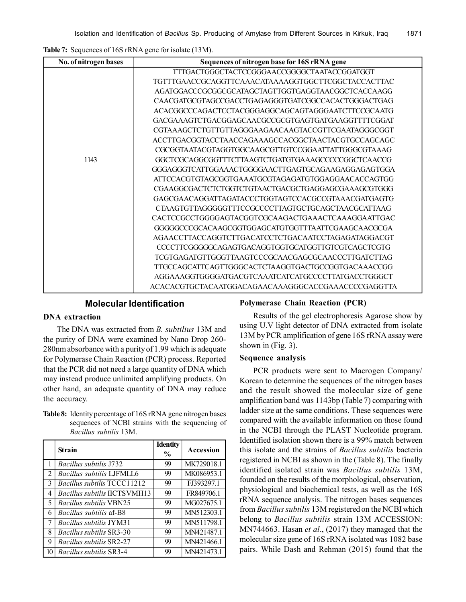**Table 7:** Sequences of 16S rRNA gene for isolate (13M).

| No. of nitrogen bases | Sequences of nitrogen base for 16S rRNA gene       |
|-----------------------|----------------------------------------------------|
|                       | TTTGACTGGGCTACTCCGGGAACCGGGGCTAATACCGGATGGT        |
|                       | TGTTTGAACCGCAGGTTCAAACATAAAAGGTGGCTTCGGCTACCACTTAC |
|                       | AGATGGACCCGCGGCGCATAGCTAGTTGGTGAGGTAACGGCTCACCAAGG |
|                       | CAACGATGCGTAGCCGACCTGAGAGGGTGATCGGCCACACTGGGACTGAG |
|                       | ACACGGCCCAGACTCCTACGGGAGGCAGCAGTAGGGAATCTTCCGCAATG |
|                       | GACGAAAGTCTGACGGAGCAACGCCGCGTGAGTGATGAAGGTTTTCGGAT |
|                       | CGTAAAGCTCTGTTGTTAGGGAAGAACAAGTACCGTTCGAATAGGGCGGT |
|                       | ACCTTGACGGTACCTAACCAGAAAGCCACGGCTAACTACGTGCCAGCAGC |
|                       | CGCGGTAATACGTAGGTGGCAAGCGTTGTCCGGAATTATTGGGCGTAAAG |
| 1143                  | GGCTCGCAGGCGGTTTCTTAAGTCTGATGTGAAAGCCCCCGGCTCAACCG |
|                       | GGGAGGGTCATTGGAAACTGGGGAACTTGAGTGCAGAAGAGGAGAGTGGA |
|                       | ATTCCACGTGTAGCGGTGAAATGCGTAGAGATGTGGAGGAACACCAGTGG |
|                       | CGAAGGCGACTCTCTGGTCTGTAACTGACGCTGAGGAGCGAAAGCGTGGG |
|                       | GAGCGAACAGGATTAGATACCCTGGTAGTCCACGCCGTAAACGATGAGTG |
|                       | CTAAGTGTTAGGGGGTTTCCGCCCCTTAGTGCTGCAGCTAACGCATTAAG |
|                       | CACTCCGCCTGGGGAGTACGGTCGCAAGACTGAAACTCAAAGGAATTGAC |
|                       | GGGGGCCCGCACAAGCGGTGGAGCATGTGGTTTAATTCGAAGCAACGCGA |
|                       | AGAACCTTACCAGGTCTTGACATCCTCTGACAATCCTAGAGATAGGACGT |
|                       | CCCCTTCGGGGGCAGAGTGACAGGTGGTGCATGGTTGTCGTCAGCTCGTG |
|                       | TCGTGAGATGTTGGGTTAAGTCCCGCAACGAGCGCAACCCTTGATCTTAG |
|                       | TTGCCAGCATTCAGTTGGGCACTCTAAGGTGACTGCCGGTGACAAACCGG |
|                       | AGGAAAGGTGGGGATGACGTCAAATCATCATGCCCCTTATGACCTGGGCT |
|                       | ACACACGTGCTACAATGGACAGAACAAAGGGCACCGAAACCCCGAGGTTA |

## **Molecular Identification**

## **DNA extraction**

The DNA was extracted from *B. subtilius* 13M and the purity of DNA were examined by Nano Drop 260- 280nm absorbance with a purity of 1.99 which is adequate for Polymerase Chain Reaction (PCR) process. Reported that the PCR did not need a large quantity of DNA which may instead produce unlimited amplifying products. On other hand, an adequate quantity of DNA may reduce the accuracy.

**Table 8:** Identity percentage of 16S rRNA gene nitrogen bases sequences of NCBI strains with the sequencing of *Bacillus subtilis* 13M.

|                | <b>Strain</b>                       | <b>Identity</b><br>$\frac{0}{0}$ | Accession  |
|----------------|-------------------------------------|----------------------------------|------------|
|                | <i>Bacillus subtilis</i> J732       | 99                               | MK729018.1 |
| $\overline{2}$ | <b>Bacillus subtilis LJFMLL6</b>    | 99                               | MK086953.1 |
| 3              | Bacillus subtilis TCCC11212         | 99                               | FJ393297.1 |
| 4              | <i>Bacillus subtilis</i> IICTSVMH13 | 99                               | FR849706.1 |
| 5              | <i>Bacillus subtilis</i> VBN25      | 99                               | MG027675.1 |
| 6              | <i>Bacillus subtilis</i> af-B8      | 99                               | MN512303.1 |
| 7              | <i>Bacillus subtilis JYM31</i>      | 99                               | MN511798.1 |
| 8              | <i>Bacillus subtilis</i> SR3-30     | 99                               | MN421487.1 |
| 9              | <i>Bacillus subtilis SR2-27</i>     | 99                               | MN421466.1 |
| 10             | <i>Bacillus subtilis SR3-4</i>      | 99                               | MN421473.1 |

### **Polymerase Chain Reaction (PCR)**

Results of the gel electrophoresis Agarose show by using U.V light detector of DNA extracted from isolate 13M by PCR amplification of gene 16S rRNA assay were shown in (Fig. 3).

#### **Sequence analysis**

PCR products were sent to Macrogen Company/ Korean to determine the sequences of the nitrogen bases and the result showed the molecular size of gene amplification band was 1143bp (Table 7) comparing with ladder size at the same conditions. These sequences were compared with the available information on those found in the NCBI through the PLAST Nucleotide program. Identified isolation shown there is a 99% match between this isolate and the strains of *Bacillus subtilis* bacteria registered in NCBI as shown in the (Table 8). The finally identified isolated strain was *Bacillus subtilis* 13M, founded on the results of the morphological, observation, physiological and biochemical tests, as well as the 16S rRNA sequence analysis. The nitrogen bases sequences from *Bacillus subtilis* 13M registered on the NCBI which belong to *Bacillus subtilis* strain 13M ACCESSION: MN744663. Hasan *et al*., (2017) they managed that the molecular size gene of 16S rRNA isolated was 1082 base pairs. While Dash and Rehman (2015) found that the